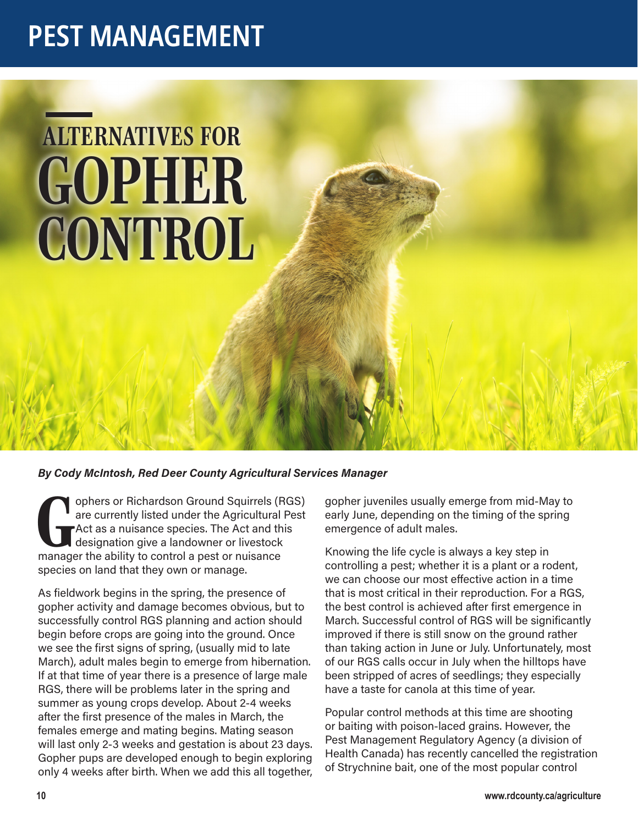## **PEST MANAGEMENT PEST MANAGEMENT**

## *GOPHER CONTROL ALTERNATIVES FOR*

## *By Cody McIntosh, Red Deer County Agricultural Services Manager*

*G* manager the ability to control a pest or nuisance ophers or Richardson Ground Squirrels (RGS) are currently listed under the Agricultural Pest Act as a nuisance species. The Act and this designation give a landowner or livestock species on land that they own or manage.

As fieldwork begins in the spring, the presence of gopher activity and damage becomes obvious, but to successfully control RGS planning and action should begin before crops are going into the ground. Once we see the first signs of spring, (usually mid to late March), adult males begin to emerge from hibernation. If at that time of year there is a presence of large male RGS, there will be problems later in the spring and summer as young crops develop. About 2-4 weeks after the first presence of the males in March, the females emerge and mating begins. Mating season will last only 2-3 weeks and gestation is about 23 days. Gopher pups are developed enough to begin exploring only 4 weeks after birth. When we add this all together, gopher juveniles usually emerge from mid-May to early June, depending on the timing of the spring emergence of adult males.

Knowing the life cycle is always a key step in controlling a pest; whether it is a plant or a rodent, we can choose our most effective action in a time that is most critical in their reproduction. For a RGS, the best control is achieved after first emergence in March. Successful control of RGS will be significantly improved if there is still snow on the ground rather than taking action in June or July. Unfortunately, most of our RGS calls occur in July when the hilltops have been stripped of acres of seedlings; they especially have a taste for canola at this time of year.

Popular control methods at this time are shooting or baiting with poison-laced grains. However, the Pest Management Regulatory Agency (a division of Health Canada) has recently cancelled the registration of Strychnine bait, one of the most popular control